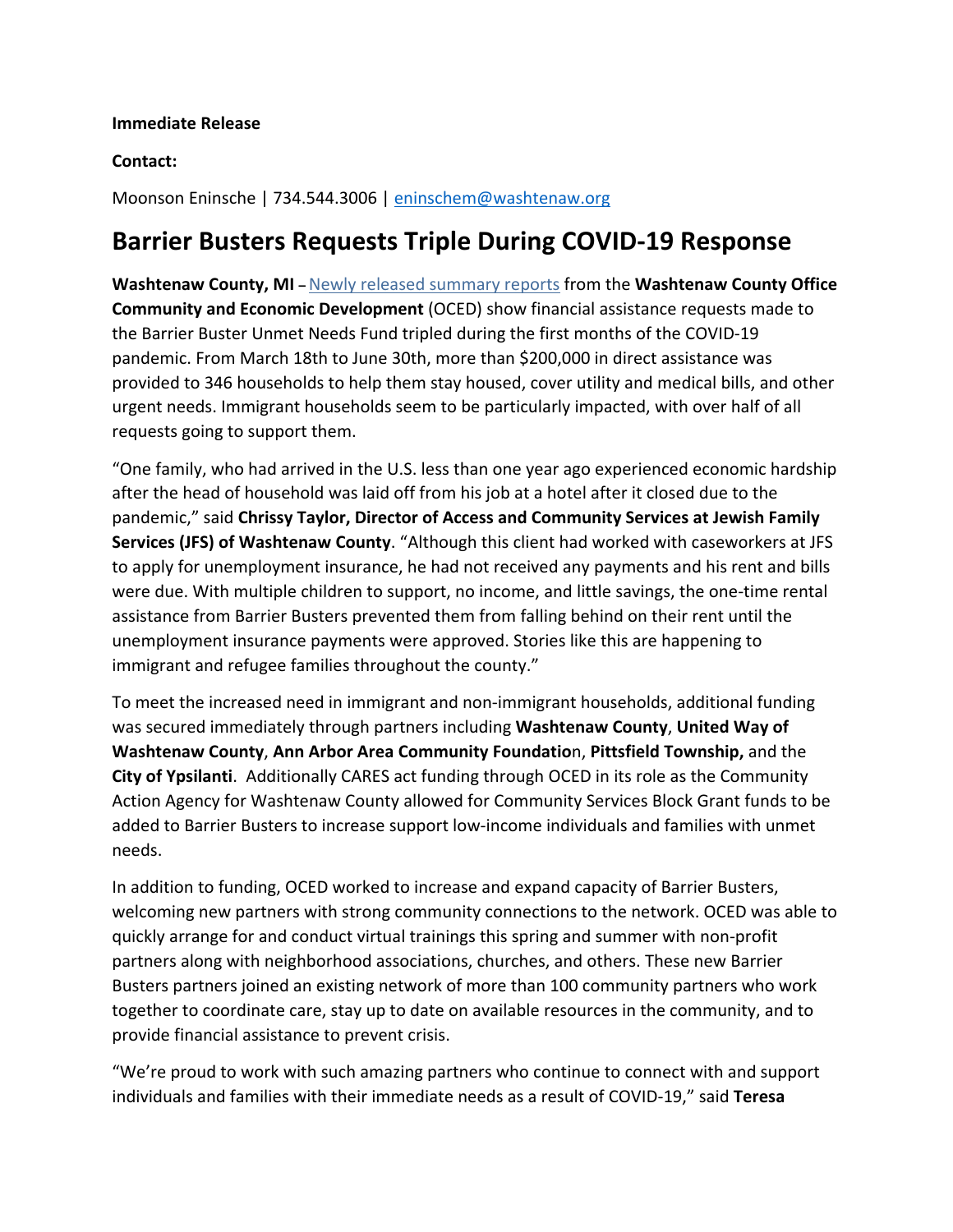## **Immediate Release**

## **Contact:**

Moonson Eninsche | 734.544.3006 | [eninschem@washtenaw.org](mailto:eninschem@washtenaw.org)

## **Barrier Busters Requests Triple During COVID-19 Response**

**Washtenaw County, MI –** [Newly released summary reports](https://gcc01.safelinks.protection.outlook.com/?url=https%3A%2F%2Fwww.washtenaw.org%2F3212%2FResponse-Reports&data=02%7C01%7Clindemanp%40washtenaw.org%7C4896499241b3421d2dde08d84f71d25c%7C940f79927c85414e8cb10632dd3a5282%7C1%7C0%7C637346697572899161&sdata=zeRnztVhMhSQFq12YCo8dGQ3wnOK5aC4DHKknJHOZ9E%3D&reserved=0) from the **Washtenaw County Office Community and Economic Development** (OCED) show financial assistance requests made to the Barrier Buster Unmet Needs Fund tripled during the first months of the COVID-19 pandemic. From March 18th to June 30th, more than \$200,000 in direct assistance was provided to 346 households to help them stay housed, cover utility and medical bills, and other urgent needs. Immigrant households seem to be particularly impacted, with over half of all requests going to support them.

"One family, who had arrived in the U.S. less than one year ago experienced economic hardship after the head of household was laid off from his job at a hotel after it closed due to the pandemic," said **Chrissy Taylor, Director of Access and Community Services at Jewish Family Services (JFS) of Washtenaw County**. "Although this client had worked with caseworkers at JFS to apply for unemployment insurance, he had not received any payments and his rent and bills were due. With multiple children to support, no income, and little savings, the one-time rental assistance from Barrier Busters prevented them from falling behind on their rent until the unemployment insurance payments were approved. Stories like this are happening to immigrant and refugee families throughout the county."

To meet the increased need in immigrant and non-immigrant households, additional funding was secured immediately through partners including **Washtenaw County**, **United Way of Washtenaw County**, **Ann Arbor Area Community Foundatio**n, **Pittsfield Township,** and the **City of Ypsilanti**. Additionally CARES act funding through OCED in its role as the Community Action Agency for Washtenaw County allowed for Community Services Block Grant funds to be added to Barrier Busters to increase support low-income individuals and families with unmet needs.

In addition to funding, OCED worked to increase and expand capacity of Barrier Busters, welcoming new partners with strong community connections to the network. OCED was able to quickly arrange for and conduct virtual trainings this spring and summer with non-profit partners along with neighborhood associations, churches, and others. These new Barrier Busters partners joined an existing network of more than 100 community partners who work together to coordinate care, stay up to date on available resources in the community, and to provide financial assistance to prevent crisis.

"We're proud to work with such amazing partners who continue to connect with and support individuals and families with their immediate needs as a result of COVID-19," said **Teresa**